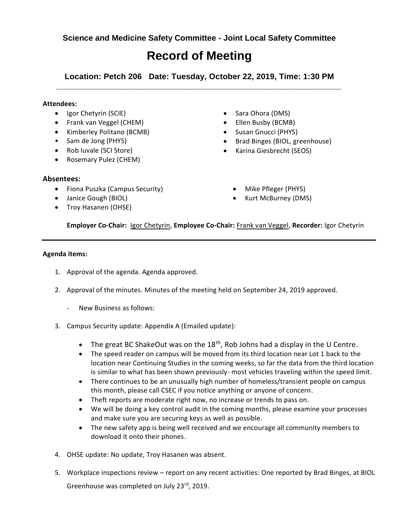**Science and Medicine Safety Committee - Joint Local Safety Committee**

## **Record of Meeting**

**Location: Petch 206 Date: Tuesday, October 22, 2019, Time: 1:30 PM \_\_\_\_\_\_\_\_\_\_\_\_\_\_\_\_\_\_\_\_\_\_\_\_\_\_\_\_\_\_\_\_\_\_\_\_\_\_\_\_\_\_\_\_\_\_\_\_\_\_\_\_\_\_\_\_\_\_\_\_\_\_\_**

## **Attendees:**

- Igor Chetyrin (SCIE)
- Frank van Veggel (CHEM)
- Kimberley Politano (BCMB)
- Sam de Jong (PHYS)
- Rob Iuvale (SCI Store)
- Rosemary Pulez (CHEM)

## **Absentees:**

- Fiona Puszka (Campus Security)
- Janice Gough (BIOL)
- Troy Hasanen (OHSE)
- Sara Ohora (DMS)
- Ellen Busby (BCMB)
- Susan Gnucci (PHYS)
- Brad Binges (BIOL, greenhouse)
- Karina Giesbrecht (SEOS)
	- Mike Pfleger (PHYS)
	- Kurt McBurney (DMS)

**Employer Co-Chair:** Igor Chetyrin, **Employee Co-Chair:** Frank van Veggel, **Recorder:** Igor Chetyrin

## **Agenda items:**

- 1. Approval of the agenda. Agenda approved.
- 2. Approval of the minutes. Minutes of the meeting held on September 24, 2019 approved.
	- New Business as follows:
- 3. Campus Security update: Appendix A (Emailed update):
	- The great BC ShakeOut was on the  $18<sup>th</sup>$ , Rob Johns had a display in the U Centre.
	- The speed reader on campus will be moved from its third location near Lot 1 back to the location near Continuing Studies in the coming weeks, so far the data from the third location is similar to what has been shown previously- most vehicles traveling within the speed limit.
	- There continues to be an unusually high number of homeless/transient people on campus this month, please call CSEC if you notice anything or anyone of concern.
	- Theft reports are moderate right now, no increase or trends to pass on.
	- We will be doing a key control audit in the coming months, please examine your processes and make sure you are securing keys as well as possible.
	- The new safety app is being well received and we encourage all community members to download it onto their phones.
- 4. OHSE update: No update, Troy Hasanen was absent.
- 5. Workplace inspections review report on any recent activities: One reported by Brad Binges, at BIOL Greenhouse was completed on July 23rd, 2019.